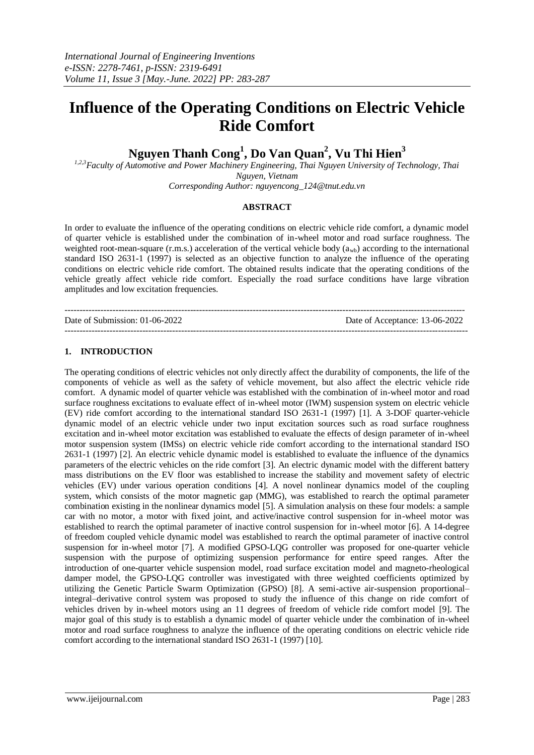# **Influence of the Operating Conditions on Electric Vehicle Ride Comfort**

**Nguyen Thanh Cong<sup>1</sup> , Do Van Quan<sup>2</sup> , Vu Thi Hien<sup>3</sup>**

*1,2,3Faculty of Automotive and Power Machinery Engineering, Thai Nguyen University of Technology, Thai Nguyen, Vietnam*

*Corresponding Author: nguyencong\_124@tnut.edu.vn*

## **ABSTRACT**

In order to evaluate the influence of the operating conditions on electric vehicle ride comfort, a dynamic model of quarter vehicle is established under the combination of in-wheel motor and road surface roughness. The weighted root-mean-square (r.m.s.) acceleration of the vertical vehicle body  $(a_{wb})$  according to the international standard ISO 2631-1 (1997) is selected as an objective function to analyze the influence of the operating conditions on electric vehicle ride comfort. The obtained results indicate that the operating conditions of the vehicle greatly affect vehicle ride comfort. Especially the road surface conditions have large vibration amplitudes and low excitation frequencies.

| Date of Submission: 01-06-2022 | Date of Acceptance: 13-06-2022 |
|--------------------------------|--------------------------------|
|                                |                                |

# **1. INTRODUCTION**

The operating conditions of electric vehicles not only directly affect the durability of components, the life of the components of vehicle as well as the safety of vehicle movement, but also affect the electric vehicle ride comfort. A dynamic model of quarter vehicle was established with the combination of in-wheel motor and road surface roughness excitations to evaluate effect of in-wheel motor (IWM) suspension system on electric vehicle (EV) ride comfort according to the international standard ISO 2631-1 (1997) [1]. A 3-DOF quarter-vehicle dynamic model of an electric vehicle under two input excitation sources such as road surface roughness excitation and in-wheel motor excitation was established to evaluate the effects of design parameter of in-wheel motor suspension system (IMSs) on electric vehicle ride comfort according to the international standard ISO 2631-1 (1997) [2]. An electric vehicle dynamic model is established to evaluate the influence of the dynamics parameters of the electric vehicles on the ride comfort [3]. An electric dynamic model with the different battery mass distributions on the EV floor was established to increase the stability and movement safety of electric vehicles (EV) under various operation conditions [4]. A novel nonlinear dynamics model of the coupling system, which consists of the motor magnetic gap (MMG), was established to rearch the optimal parameter combination existing in the nonlinear dynamics model [5]. A simulation analysis on these four models: a sample car with no motor, a motor with fixed joint, and active/inactive control suspension for in-wheel motor was established to rearch the optimal parameter of inactive control suspension for in-wheel motor [6]. A 14-degree of freedom coupled vehicle dynamic model was established to rearch the optimal parameter of inactive control suspension for in-wheel motor [7]. A modified GPSO-LQG controller was proposed for one-quarter vehicle suspension with the purpose of optimizing suspension performance for entire speed ranges. After the introduction of one-quarter vehicle suspension model, road surface excitation model and magneto-rheological damper model, the GPSO-LQG controller was investigated with three weighted coefficients optimized by utilizing the Genetic Particle Swarm Optimization (GPSO) [8]. A semi-active air-suspension proportional– integral–derivative control system was proposed to study the influence of this change on ride comfort of vehicles driven by in-wheel motors using an 11 degrees of freedom of vehicle ride comfort model [9]. The major goal of this study is to establish a dynamic model of quarter vehicle under the combination of in-wheel motor and road surface roughness to analyze the influence of the operating conditions on electric vehicle ride comfort according to the international standard ISO 2631-1 (1997) [10].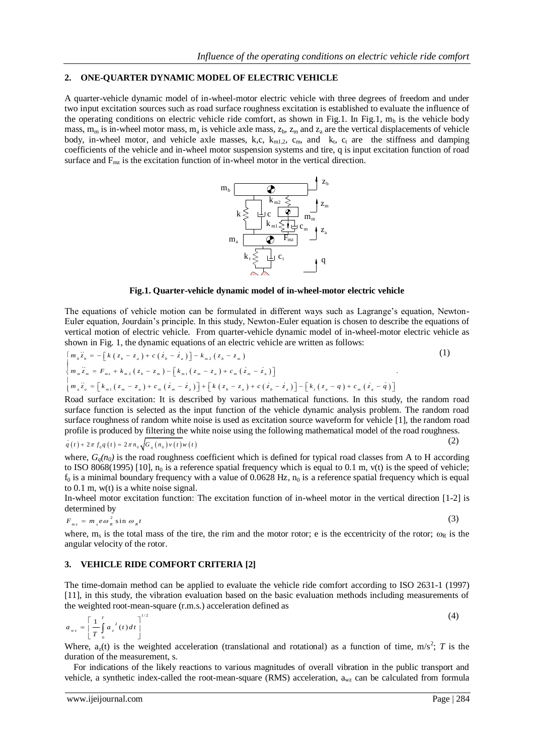## **2. ONE-QUARTER DYNAMIC MODEL OF ELECTRIC VEHICLE**

A quarter-vehicle dynamic model of in-wheel-motor electric vehicle with three degrees of freedom and under two input excitation sources such as road surface roughness excitation is established to evaluate the influence of the operating conditions on electric vehicle ride comfort, as shown in Fig.1. In Fig.1,  $m_b$  is the vehicle body mass,  $m_m$  is in-wheel motor mass,  $m_a$  is vehicle axle mass,  $z_b$ ,  $z_m$  and  $z_a$  are the vertical displacements of vehicle body, in-wheel motor, and vehicle axle masses, k,c,  $k_{m1,2}$ ,  $c_m$ , and  $k_t$ ,  $c_t$  are the stiffness and damping coefficients of the vehicle and in-wheel motor suspension systems and tire, q is input excitation function of road surface and  $F_{\text{mz}}$  is the excitation function of in-wheel motor in the vertical direction.



#### **Fig.1. Quarter-vehicle dynamic model of in-wheel-motor electric vehicle**

The equations of vehicle motion can be formulated in different ways such as Lagrange's equation, Newton-Euler equation, Jourdain's principle. In this study, Newton-Euler equation is chosen to describe the equations of vertical motion of electric vehicle. From quarter-vehicle dynamic model of in-wheel-motor electric vehicle as shown in Fig. 1, the dynamic equations of an electric vehicle are written as follows:<br>  $\begin{bmatrix} m_{\nu} z_{\nu} = -\left[k (z$ 

shown in Fig. 1, the dynamic equations of an electric vehicle are written as follows:  
\n
$$
\begin{cases}\nm_b \ddot{z}_b = -\left[k(z_b - z_a) + c(\dot{z}_b - \dot{z}_a)\right] - k_{m2}(\dot{z}_b - \dot{z}_m)\n\end{cases}
$$
\n
$$
\begin{cases}\nm_b \ddot{z}_b = -\left[k(z_b - z_a) + c(\dot{z}_b - \dot{z}_a)\right] - k_{m2}(\dot{z}_b - \dot{z}_m)\n\end{cases}
$$
\n
$$
\begin{cases}\nm_a \ddot{z}_a = [k_{m1}(\dot{z}_m - \dot{z}_a) + c_m(\dot{z}_m - \dot{z}_a)] + [k(\dot{z}_b - \dot{z}_a) + c(\dot{z}_b - \dot{z}_a)] - [k_r(\dot{z}_a - \dot{q}) + c_m(\dot{z}_a - \dot{q})]\n\end{cases}
$$
\n
$$
\begin{cases}\nm_a \ddot{z}_a = [k_{m1}(\dot{z}_m - \dot{z}_a) + c_m(\dot{z}_m - \dot{z}_a)] + [k(\dot{z}_b - \dot{z}_a) + c(\dot{z}_b - \dot{z}_a)] - [k_r(\dot{z}_a - \dot{q}) + c_m(\dot{z}_a - \dot{q})]\n\end{cases}
$$
\n
$$
\begin{cases}\nm_b \ddot{z}_a = [k_{m1}(\dot{z}_m - \dot{z}_a) + c_m(\dot{z}_m - \dot{z}_a)] + [k(\dot{z}_b - \dot{z}_a) + c(\dot{z}_b - \dot{z}_a)] - [k_r(\dot{z}_a - \dot{q}) + c_m(\dot{z}_a - \dot{q})]\n\end{cases}
$$
\n(1)

Road surface excitation: It is described by various mathematical functions. In this study, the random road surface function is selected as the input function of the vehicle dynamic analysis problem. The random road surface roughness of random white noise is used as excitation source waveform for vehicle [1], the random road profile is produced by filtering the white noise using the following mathematical model of the road roughness.<br>  $q(t) + 2\pi f_0 q(t) = 2\pi n_0 \sqrt{G_q(n_0) v(t) w(t)}$  (2)

$$
q(t) + 2\pi f_0 q(t) = 2\pi n_0 \sqrt{G_q(n_0)v(t)}w(t)
$$
\n(2)

where,  $G<sub>o</sub>(n<sub>0</sub>)$  is the road roughness coefficient which is defined for typical road classes from A to H according to ISO 8068(1995) [10],  $n_0$  is a reference spatial frequency which is equal to 0.1 m, v(t) is the speed of vehicle;  $f_0$  is a minimal boundary frequency with a value of 0.0628 Hz,  $n_0$  is a reference spatial frequency which is equal to 0.1 m, w(t) is a white noise signal.

In-wheel motor excitation function: The excitation function of in-wheel motor in the vertical direction [1-2] is determined by

$$
F_{mz} = m_s e \omega_R^2 \sin \omega_R t \tag{3}
$$

where,  $m_s$  is the total mass of the tire, the rim and the motor rotor; e is the eccentricity of the rotor;  $\omega_R$  is the angular velocity of the rotor.

## **3. VEHICLE RIDE COMFORT CRITERIA [2]**

The time-domain method can be applied to evaluate the vehicle ride comfort according to ISO 2631-1 (1997) [11], in this study, the vibration evaluation based on the basic evaluation methods including measurements of the weighted root-mean-square (r.m.s.) acceleration defined as

$$
a_{wz} = \left[\frac{1}{T} \int_{0}^{T} a_z^{2}(t) dt\right]^{1/2}
$$
 (4)

Where,  $a_2(t)$  is the weighted acceleration (translational and rotational) as a function of time, m/s<sup>2</sup>; *T* is the duration of the measurement, s.

For indications of the likely reactions to various magnitudes of overall vibration in the public transport and vehicle, a synthetic index-called the root-mean-square (RMS) acceleration, awz can be calculated from formula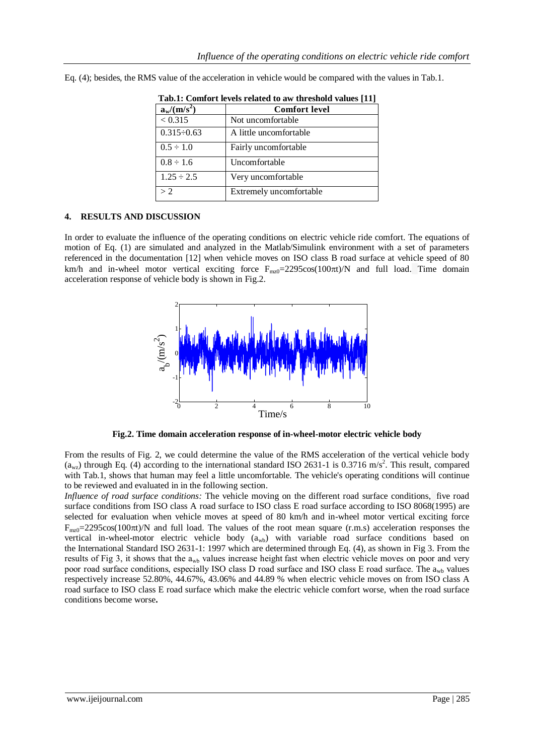| Tab.1: Comfort levels related to aw threshold values [11] |                         |
|-----------------------------------------------------------|-------------------------|
| $a_w/(m/s^2)$                                             | <b>Comfort level</b>    |
| < 0.315                                                   | Not uncomfortable       |
| $0.315 - 0.63$                                            | A little uncomfortable  |
| $0.5 \div 1.0$                                            | Fairly uncomfortable    |
| $0.8 \div 1.6$                                            | Uncomfortable           |
| $1.25 \div 2.5$                                           | Very uncomfortable      |
| > 2                                                       | Extremely uncomfortable |

Eq. (4); besides, the RMS value of the acceleration in vehicle would be compared with the values in Tab.1.

## **4. RESULTS AND DISCUSSION**

In order to evaluate the influence of the operating conditions on electric vehicle ride comfort. The equations of motion of Eq. (1) are simulated and analyzed in the Matlab/Simulink environment with a set of parameters referenced in the documentation [12] when vehicle moves on ISO class B road surface at vehicle speed of 80 km/h and in-wheel motor vertical exciting force  $F_{mz0}=2295\cos(100\pi t)/N$  and full load. Time domain acceleration response of vehicle body is shown in Fig.2.



**Fig.2. Time domain acceleration response of in-wheel-motor electric vehicle body**

From the results of Fig. 2, we could determine the value of the RMS acceleration of the vertical vehicle body  $(a_{\text{wz}})$  through Eq. (4) according to the international standard ISO 2631-1 is 0.3716 m/s<sup>2</sup>. This result, compared with Tab.1, shows that human may feel a little uncomfortable. The vehicle's operating conditions will continue to be reviewed and evaluated in in the following section.

*Influence of road surface conditions:* The vehicle moving on the different road surface conditions, five road surface conditions from ISO class A road surface to ISO class E road surface according to ISO 8068(1995) are selected for evaluation when vehicle moves at speed of 80 km/h and in-wheel motor vertical exciting force  $F_{mz0}=2295\cos(100\pi t)/N$  and full load. The values of the root mean square (r.m.s) acceleration responses the vertical in-wheel-motor electric vehicle body  $(a_{wb})$  with variable road surface conditions based on the International Standard ISO 2631-1: 1997 which are determined through Eq. (4), as shown in Fig 3. From the results of Fig 3, it shows that the  $a_{wh}$  values increase height fast when electric vehicle moves on poor and very poor road surface conditions, especially ISO class D road surface and ISO class E road surface. The  $a_{\rm wb}$  values respectively increase 52.80%, 44.67%, 43.06% and 44.89 % when electric vehicle moves on from ISO class A road surface to ISO class E road surface which make the electric vehicle comfort worse, when the road surface conditions become worse**.**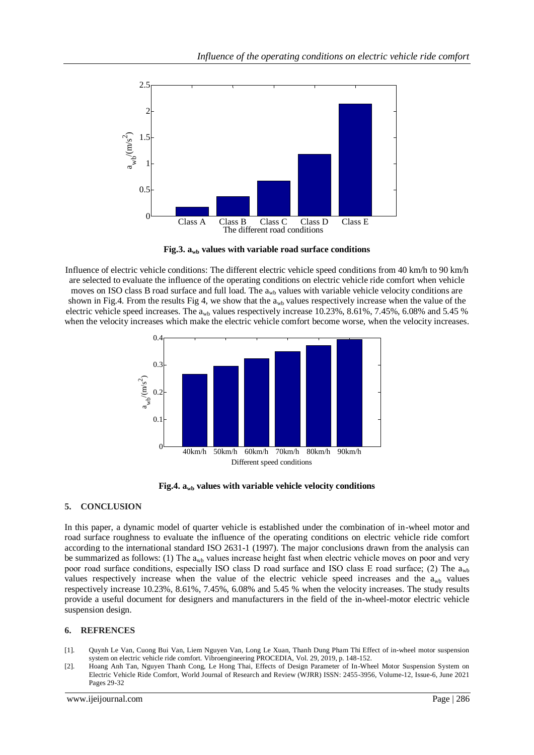

Fig.3.  $a_{wb}$  values with variable road surface conditions

Influence of electric vehicle conditions: The different electric vehicle speed conditions from 40 km/h to 90 km/h are selected to evaluate the influence of the operating conditions on electric vehicle ride comfort when vehicle moves on ISO class B road surface and full load. The  $a<sub>wb</sub>$  values with variable vehicle velocity conditions are shown in Fig.4. From the results Fig 4, we show that the  $a_{wb}$  values respectively increase when the value of the electric vehicle speed increases. The  $a_{wh}$  values respectively increase 10.23%, 8.61%, 7.45%, 6.08% and 5.45 % when the velocity increases which make the electric vehicle comfort become worse, when the velocity increases.



**Fig.4. awb values with variable vehicle velocity conditions**

## **5. CONCLUSION**

In this paper, a dynamic model of quarter vehicle is established under the combination of in-wheel motor and road surface roughness to evaluate the influence of the operating conditions on electric vehicle ride comfort according to the international standard ISO 2631-1 (1997). The major conclusions drawn from the analysis can be summarized as follows: (1) The  $a_{wb}$  values increase height fast when electric vehicle moves on poor and very poor road surface conditions, especially ISO class D road surface and ISO class E road surface; (2) The  $a_{\rm wh}$ values respectively increase when the value of the electric vehicle speed increases and the  $a_{wb}$  values respectively increase 10.23%, 8.61%, 7.45%, 6.08% and 5.45 % when the velocity increases. The study results provide a useful document for designers and manufacturers in the field of the in-wheel-motor electric vehicle suspension design.

## **6. REFRENCES**

- [1]. Quynh Le Van, Cuong Bui Van, Liem Nguyen Van, Long Le Xuan, Thanh Dung Pham Thi Effect of in-wheel motor suspension system on electric vehicle ride comfort. Vibroengineering PROCEDIA, Vol. 29, 2019, p. 148-152.
- [2]. Hoang Anh Tan, Nguyen Thanh Cong, Le Hong Thai, Effects of Design Parameter of In-Wheel Motor Suspension System on Electric Vehicle Ride Comfort, World Journal of Research and Review (WJRR) ISSN: 2455-3956, Volume-12, Issue-6, June 2021 Pages 29-32